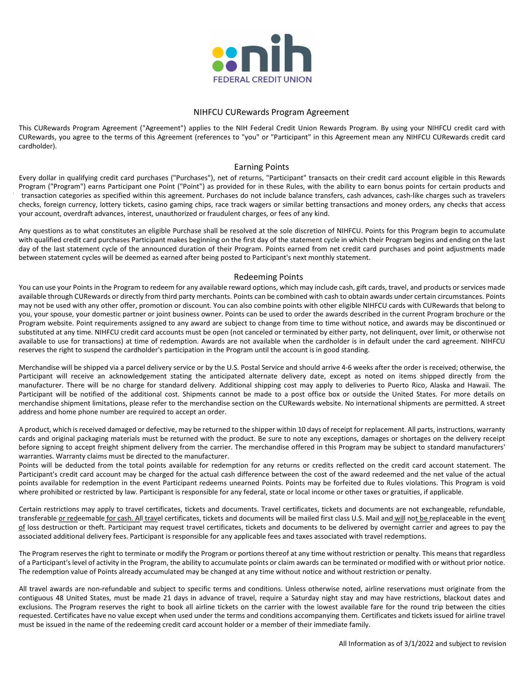

## NIHFCU CURewards Program Agreement

This CURewards Program Agreement ("Agreement") applies to the NIH Federal Credit Union Rewards Program. By using your NIHFCU credit card with CURewards, you agree to the terms of this Agreement (references to "you" or "Participant" in this Agreement mean any NIHFCU CURewards credit card cardholder).

## Earning Points

Every dollar in qualifying credit card purchases ("Purchases"), net of returns, "Participant" transacts on their credit card account eligible in this Rewards Program ("Program") earns Participant one Point ("Point") as provided for in these Rules, with the ability to earn bonus points for certain products and transaction categories as specified within this agreement. Purchases do not include balance transfers, cash advances, cash-like charges such as travelers checks, foreign currency, lottery tickets, casino gaming chips, race track wagers or similar betting transactions and money orders, any checks that access your account, overdraft advances, interest, unauthorized or fraudulent charges, or fees of any kind.

Any questions as to what constitutes an eligible Purchase shall be resolved at the sole discretion of NIHFCU. Points for this Program begin to accumulate with qualified credit card purchases Participant makes beginning on the first day of the statement cycle in which their Program begins and ending on the last day of the last statement cycle of the announced duration of their Program. Points earned from net credit card purchases and point adjustments made between statement cycles will be deemed as earned after being posted to Participant's next monthly statement.

#### Redeeming Points

You can use your Points in the Program to redeem for any available reward options, which may include cash, gift cards, travel, and products or services made available through CURewards or directly from third party merchants. Points can be combined with cash to obtain awards under certain circumstances. Points may not be used with any other offer, promotion or discount. You can also combine points with other eligible NIHFCU cards with CURewards that belong to you, your spouse, your domestic partner or joint business owner. Points can be used to order the awards described in the current Program brochure or the Program website. Point requirements assigned to any award are subject to change from time to time without notice, and awards may be discontinued or substituted at any time. NIHFCU credit card accounts must be open (not canceled or terminated by either party, not delinquent, over limit, or otherwise not available to use for transactions) at time of redemption. Awards are not available when the cardholder is in default under the card agreement. NIHFCU reserves the right to suspend the cardholder's participation in the Program until the account is in good standing.

Merchandise will be shipped via a parcel delivery service or by the U.S. Postal Service and should arrive 4-6 weeks after the order is received; otherwise, the Participant will receive an acknowledgement stating the anticipated alternate delivery date, except as noted on items shipped directly from the manufacturer. There will be no charge for standard delivery. Additional shipping cost may apply to deliveries to Puerto Rico, Alaska and Hawaii. The Participant will be notified of the additional cost. Shipments cannot be made to a post office box or outside the United States. For more details on merchandise shipment limitations, please refer to the merchandise section on the CURewards website. No international shipments are permitted. A street address and home phone number are required to accept an order.

A product, which is received damaged or defective, may be returned to the shipper within 10 days of receipt for replacement. All parts, instructions, warranty cards and original packaging materials must be returned with the product. Be sure to note any exceptions, damages or shortages on the delivery receipt before signing to accept freight shipment delivery from the carrier. The merchandise offered in this Program may be subject to standard manufacturers' warranties. Warranty claims must be directed to the manufacturer.

Points will be deducted from the total points available for redemption for any returns or credits reflected on the credit card account statement. The Participant's credit card account may be charged for the actual cash difference between the cost of the award redeemed and the net value of the actual points available for redemption in the event Participant redeems unearned Points. Points may be forfeited due to Rules violations. This Program is void where prohibited or restricted by law. Participant is responsible for any federal, state or local income or other taxes or gratuities, if applicable.

Certain restrictions may apply to travel certificates, tickets and documents. Travel certificates, tickets and documents are not exchangeable, refundable, transferable or redeemable for cash. All travel certificates, tickets and documents will be mailed first class U.S. Mail and will not be replaceable in the event of loss destruction or theft. Participant may request travel certificates, tickets and documents to be delivered by overnight carrier and agrees to pay the associated additional delivery fees. Participant is responsible for any applicable fees and taxes associated with travel redemptions.

The Program reserves the right to terminate or modify the Program or portions thereof at any time without restriction or penalty. This means that regardless of a Participant's level of activity in the Program, the ability to accumulate points or claim awards can be terminated or modified with or without prior notice. The redemption value of Points already accumulated may be changed at any time without notice and without restriction or penalty.

All travel awards are non-refundable and subject to specific terms and conditions. Unless otherwise noted, airline reservations must originate from the contiguous 48 United States, must be made 21 days in advance of travel, require a Saturday night stay and may have restrictions, blackout dates and exclusions. The Program reserves the right to book all airline tickets on the carrier with the lowest available fare for the round trip between the cities requested. Certificates have no value except when used under the terms and conditions accompanying them. Certificates and tickets issued for airline travel must be issued in the name of the redeeming credit card account holder or a member of their immediate family.